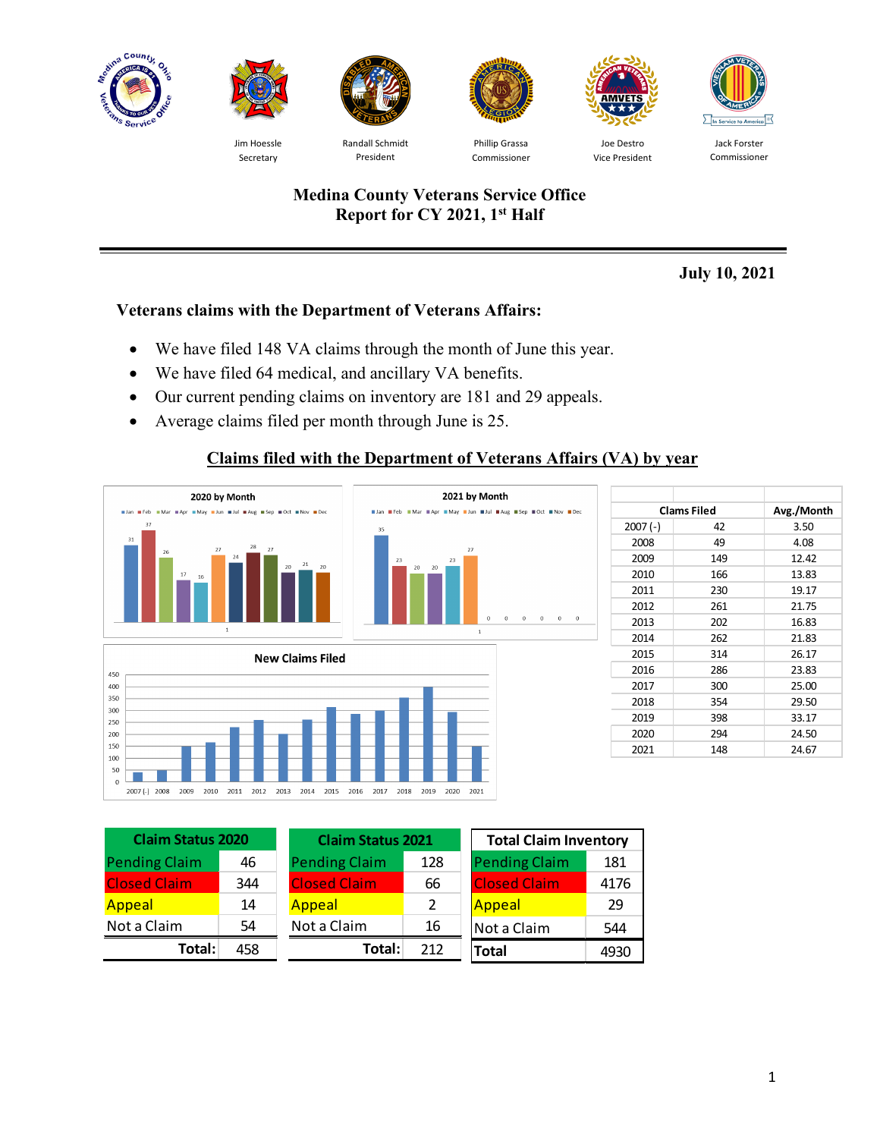



Jim Hoessle Secretary



Randall Schmidt President



Phillip Grassa Commissioner



Vice President



Jack Forster Commissioner

## **Medina County Veterans Service Office Report for CY 2021, 1st Half**

**July 10, 2021**

# **Veterans claims with the Department of Veterans Affairs:**

- We have filed 148 VA claims through the month of June this year.
- We have filed 64 medical, and ancillary VA benefits.
- Our current pending claims on inventory are 181 and 29 appeals.
- Average claims filed per month through June is 25.

# **Claims filed with the Department of Veterans Affairs (VA) by year**



|           | <b>Clams Filed</b> | Avg./Month |
|-----------|--------------------|------------|
| $2007(-)$ | 42                 | 3.50       |
| 2008      | 49                 | 4.08       |
| 2009      | 149                | 12.42      |
| 2010      | 166                | 13.83      |
| 2011      | 230                | 19.17      |
| 2012      | 261                | 21.75      |
| 2013      | 202                | 16.83      |
| 2014      | 262                | 21.83      |
| 2015      | 314                | 26.17      |
| 2016      | 286                | 23.83      |
| 2017      | 300                | 25.00      |
| 2018      | 354                | 29.50      |
| 2019      | 398                | 33.17      |
| 2020      | 294                | 24.50      |
| 2021      | 148                | 24.67      |

| <b>Claim Status 2020</b> |     | <b>Claim Status 2021</b> |     | <b>Total Claim Inventory</b> |      |
|--------------------------|-----|--------------------------|-----|------------------------------|------|
| <b>Pending Claim</b>     | 46  | <b>Pending Claim</b>     | 128 | <b>Pending Claim</b>         | 181  |
| <b>Closed Claim</b>      | 344 | <b>Closed Claim</b>      | 66  | <b>Closed Claim</b>          | 4176 |
| Appeal                   | 14  | Appeal                   | 2   | <b>Appeal</b>                | 29   |
| Not a Claim              | 54  | Not a Claim              | 16  | Not a Claim                  | 544  |
| Total:                   | 458 | Total:                   | 212 | <b>Total</b>                 | 4930 |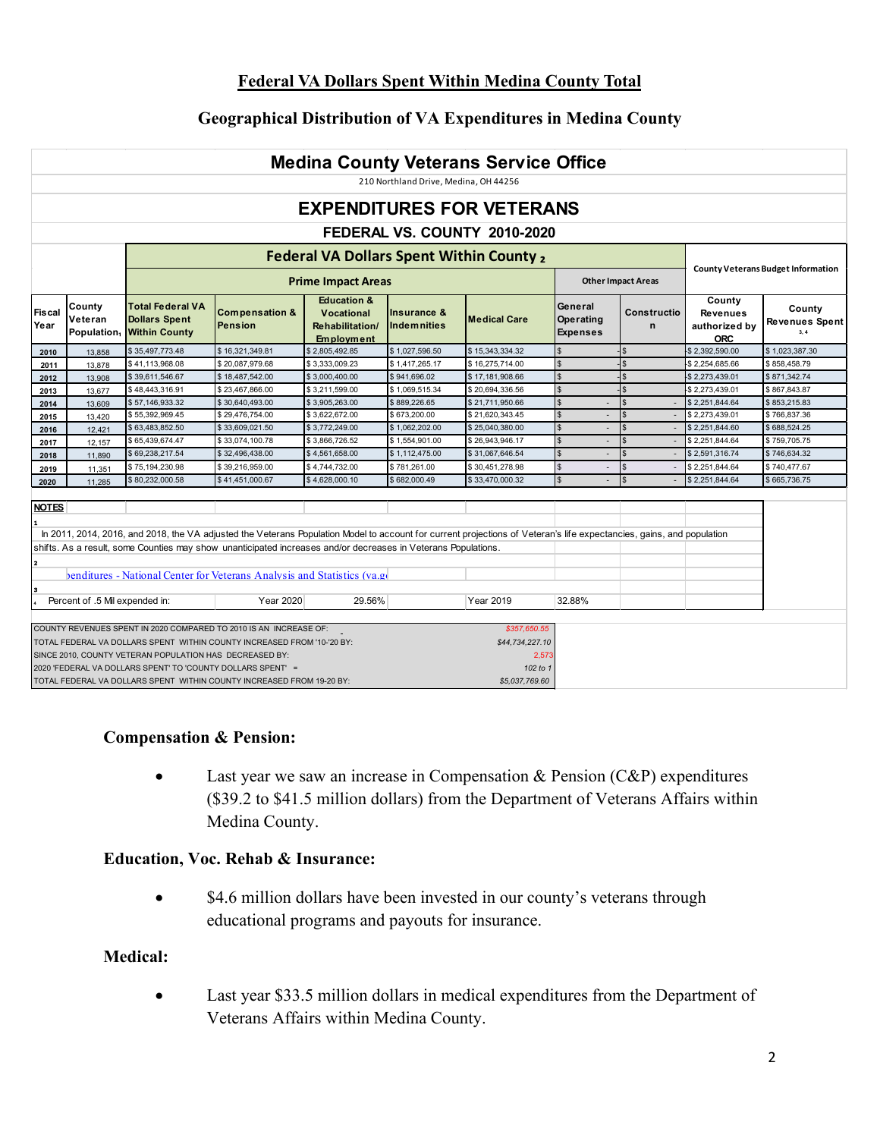## **Federal VA Dollars Spent Within Medina County Total**

## **Geographical Distribution of VA Expenditures in Medina County**

|                                                                                                                                                                                                  | <b>Medina County Veterans Service Office</b>                              |                                                                                                                        |                                                                                                                                              |                                                                                     |                            |                                                      |                                         |                  |                                                          |                                    |  |  |  |
|--------------------------------------------------------------------------------------------------------------------------------------------------------------------------------------------------|---------------------------------------------------------------------------|------------------------------------------------------------------------------------------------------------------------|----------------------------------------------------------------------------------------------------------------------------------------------|-------------------------------------------------------------------------------------|----------------------------|------------------------------------------------------|-----------------------------------------|------------------|----------------------------------------------------------|------------------------------------|--|--|--|
|                                                                                                                                                                                                  | 210 Northland Drive, Medina, OH 44256<br><b>EXPENDITURES FOR VETERANS</b> |                                                                                                                        |                                                                                                                                              |                                                                                     |                            |                                                      |                                         |                  |                                                          |                                    |  |  |  |
|                                                                                                                                                                                                  |                                                                           |                                                                                                                        |                                                                                                                                              |                                                                                     |                            |                                                      |                                         |                  |                                                          |                                    |  |  |  |
|                                                                                                                                                                                                  |                                                                           |                                                                                                                        |                                                                                                                                              |                                                                                     |                            | FEDERAL VS. COUNTY 2010-2020                         |                                         |                  |                                                          |                                    |  |  |  |
|                                                                                                                                                                                                  |                                                                           |                                                                                                                        |                                                                                                                                              |                                                                                     |                            | <b>Federal VA Dollars Spent Within County,</b>       |                                         |                  |                                                          |                                    |  |  |  |
|                                                                                                                                                                                                  | <b>Other Impact Areas</b><br><b>Prime Impact Areas</b>                    |                                                                                                                        |                                                                                                                                              |                                                                                     |                            |                                                      |                                         |                  |                                                          | County Veterans Budget Information |  |  |  |
| Fiscal<br>Year                                                                                                                                                                                   | County<br>Veteran<br>Population,                                          | <b>Total Federal VA</b><br><b>Dollars Spent</b><br><b>Within County</b>                                                | Compensation &<br><b>IPension</b>                                                                                                            | <b>Education &amp;</b><br><b>Vocational</b><br>Rehabilitation/<br><b>Employment</b> | Insurance &<br>Indemnities | <b>Medical Care</b>                                  | General<br>Operating<br><b>Expenses</b> | Constructio<br>n | County<br><b>Revenues</b><br>authorized by<br><b>ORC</b> | County<br>Revenues Spent<br>3.4    |  |  |  |
| 2010                                                                                                                                                                                             | 13.858                                                                    | \$35,497,773.48                                                                                                        | \$16,321,349.81                                                                                                                              | \$2,805,492.85                                                                      | \$1,027,596.50             | \$15,343,334.32                                      |                                         |                  | \$2,392,590.00                                           | \$1,023,387.30                     |  |  |  |
| 2011                                                                                                                                                                                             | 13,878                                                                    | \$41,113,968.08                                                                                                        | \$20.087.979.68                                                                                                                              | \$3.333.009.23                                                                      | \$1.417.265.17             | \$16,275,714.00                                      | $\hat{\mathbf{x}}$                      | $\mathbf{s}$     | \$2.254.685.66                                           | \$858,458.79                       |  |  |  |
| 2012                                                                                                                                                                                             | 13.908                                                                    | \$39,611,546.67                                                                                                        | \$18,487,542.00                                                                                                                              | \$3,000,400.00                                                                      | \$941,696.02               | \$17,181,908.66                                      |                                         |                  | \$2,273,439.01                                           | \$871,342.74                       |  |  |  |
| 2013                                                                                                                                                                                             | 13,677                                                                    | \$48,443,316.91                                                                                                        | \$23,467,866.00                                                                                                                              | \$3,211,599.00                                                                      | \$1,069,515.34             | \$20,694,336.56                                      | $\mathbb{S}$                            | $\mathbb{S}$     | \$2,273,439.01                                           | \$867,843.87                       |  |  |  |
| 2014                                                                                                                                                                                             | 13,609                                                                    | \$57,146,933.32                                                                                                        | \$30,640,493.00                                                                                                                              | \$3,905,263.00                                                                      | \$889,226.65               | \$21,711,950.66                                      |                                         | \$               | \$2,251,844.64                                           | \$853,215.83                       |  |  |  |
| 2015                                                                                                                                                                                             | 13,420                                                                    | \$55.392.969.45                                                                                                        | \$29.476.754.00                                                                                                                              | \$3.622.672.00                                                                      | \$673,200.00               | \$21.620.343.45                                      | $\overline{a}$                          | \$               | S 2.273.439.01                                           | \$766.837.36                       |  |  |  |
| 2016                                                                                                                                                                                             | 12,421                                                                    | \$63,483,852.50                                                                                                        | \$33,609,021.50                                                                                                                              | \$3.772.249.00                                                                      | \$1,062,202.00             | \$25.040.380.00                                      | $\blacksquare$                          | \$               | \$2.251.844.60                                           | \$688.524.25                       |  |  |  |
| 2017                                                                                                                                                                                             | 12,157                                                                    | \$65,439,674.47                                                                                                        | \$33,074,100.78                                                                                                                              | \$3,866,726.52                                                                      | \$1,554,901.00             | \$26,943,946.17                                      | $\mathbb{S}$<br>$\overline{a}$          | $\mathbf{s}$     | \$2,251,844.64                                           | \$759,705.75                       |  |  |  |
| 2018                                                                                                                                                                                             | 11,890                                                                    | \$69,238,217.54                                                                                                        | \$32,496,438.00                                                                                                                              | \$4,561,658.00                                                                      | \$1,112,475.00             | \$31,067,646.54                                      | $\mathbf{s}$<br>$\overline{a}$          | <sub>S</sub>     | \$2,591,316.74                                           | \$746,634.32                       |  |  |  |
| 2019                                                                                                                                                                                             | 11,351                                                                    | \$75,194,230.98                                                                                                        | \$39,216,959.00                                                                                                                              | \$4,744,732.00                                                                      | \$781,261.00               | \$30,451,278.98                                      | $\mathbf{\hat{s}}$<br>$\overline{a}$    | <b>S</b>         | \$2,251,844.64                                           | \$740,477.67                       |  |  |  |
| 2020                                                                                                                                                                                             | 11,285                                                                    | \$80,232,000.58                                                                                                        | \$41,451,000.67                                                                                                                              | \$4,628,000.10                                                                      | \$682,000.49               | \$33,470,000.32                                      | $\mathbb{S}$<br>$\sim$                  | $\mathbf{s}$     | \$2,251,844.64                                           | \$665,736.75                       |  |  |  |
| <b>NOTES</b><br>In 2011, 2014, 2016, and 2018, the VA adjusted the Veterans Population Model to account for current projections of Veteran's life expectancies, gains, and population            |                                                                           |                                                                                                                        |                                                                                                                                              |                                                                                     |                            |                                                      |                                         |                  |                                                          |                                    |  |  |  |
| shifts. As a result, some Counties may show unanticipated increases and/or decreases in Veterans Populations.<br>l2.<br>benditures - National Center for Veterans Analysis and Statistics (va.ge |                                                                           |                                                                                                                        |                                                                                                                                              |                                                                                     |                            |                                                      |                                         |                  |                                                          |                                    |  |  |  |
| 3                                                                                                                                                                                                | Percent of .5 Mil expended in:                                            |                                                                                                                        | <b>Year 2020</b>                                                                                                                             | 29.56%                                                                              |                            | <b>Year 2019</b>                                     | 32.88%                                  |                  |                                                          |                                    |  |  |  |
|                                                                                                                                                                                                  |                                                                           | SINCE 2010, COUNTY VETERAN POPULATION HAS DECREASED BY:<br>2020 'FEDERAL VA DOLLARS SPENT' TO 'COUNTY DOLLARS SPENT' = | COUNTY REVENUES SPENT IN 2020 COMPARED TO 2010 IS AN INCREASE OF:<br>TOTAL FEDERAL VA DOLLARS SPENT WITHIN COUNTY INCREASED FROM '10-'20 BY: |                                                                                     |                            | \$357,650.55<br>\$44,734,227,10<br>2.573<br>102 to 1 |                                         |                  |                                                          |                                    |  |  |  |
|                                                                                                                                                                                                  |                                                                           |                                                                                                                        | TOTAL FEDERAL VA DOLLARS SPENT WITHIN COUNTY INCREASED FROM 19-20 BY:                                                                        |                                                                                     |                            | \$5,037,769.60                                       |                                         |                  |                                                          |                                    |  |  |  |

#### **Compensation & Pension:**

• Last year we saw an increase in Compensation & Pension (C&P) expenditures (\$39.2 to \$41.5 million dollars) from the Department of Veterans Affairs within Medina County.

#### **Education, Voc. Rehab & Insurance:**

• \$4.6 million dollars have been invested in our county's veterans through educational programs and payouts for insurance.

#### **Medical:**

• Last year \$33.5 million dollars in medical expenditures from the Department of Veterans Affairs within Medina County.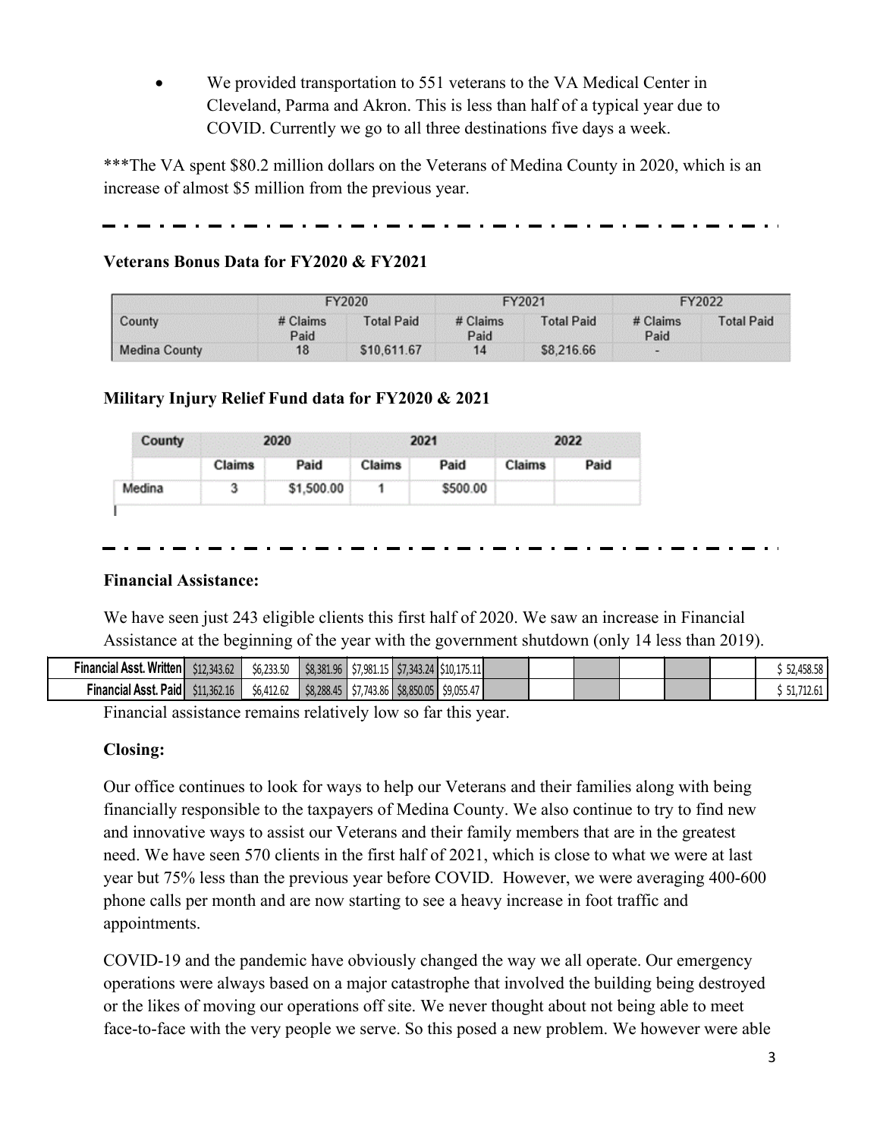We provided transportation to 551 veterans to the VA Medical Center in Cleveland, Parma and Akron. This is less than half of a typical year due to COVID. Currently we go to all three destinations five days a week.

\*\*\*The VA spent \$80.2 million dollars on the Veterans of Medina County in 2020, which is an increase of almost \$5 million from the previous year.

## **Veterans Bonus Data for FY2020 & FY2021**

| County               |                    | FY2020            |                    | FY2021            | FY2022             |                   |  |
|----------------------|--------------------|-------------------|--------------------|-------------------|--------------------|-------------------|--|
|                      | $#$ Claims<br>Paid | <b>Total Paid</b> | $#$ Claims<br>Paid | <b>Total Paid</b> | $#$ Claims<br>Paid | <b>Total Paid</b> |  |
| <b>Medina County</b> | 18                 | \$10,611.67       | 14                 | \$8,216.66        | $\sim$             |                   |  |

## **Military Injury Relief Fund data for FY2020 & 2021**

| County |        | つのつの       |        | 2021     |               |      |  |
|--------|--------|------------|--------|----------|---------------|------|--|
|        | Claims | Paid       | Claims | Paid     | <b>Claims</b> | Paid |  |
|        |        | \$1,500.00 |        | \$500.00 |               |      |  |

### **Financial Assistance:**

We have seen just 243 eligible clients this first half of 2020. We saw an increase in Financial Assistance at the beginning of the year with the government shutdown (only 14 less than 2019).

| Financial Asst. Written        | \$12,343.62 | \$6,233.50<br><b>Sh</b> | \$8,381,96 |                               | $\frac{1}{2}$ \$7,981.15 $\frac{1}{2}$ \$7,343.24 $\frac{1}{2}$ \$10,175.11 |  |  |  | ALO LO<br><b>JZ,4JO.JO I</b>  |
|--------------------------------|-------------|-------------------------|------------|-------------------------------|-----------------------------------------------------------------------------|--|--|--|-------------------------------|
| Paid<br><b>Financial Asst.</b> | \$11,362.16 | 11202<br>56,412.62      | \$8,288,45 | $\frac{57,743.86}{58,850.05}$ | \$9,055.47                                                                  |  |  |  | $\overline{a}$<br>31,7TC.0T I |

Financial assistance remains relatively low so far this year.

### **Closing:**

Our office continues to look for ways to help our Veterans and their families along with being financially responsible to the taxpayers of Medina County. We also continue to try to find new and innovative ways to assist our Veterans and their family members that are in the greatest need. We have seen 570 clients in the first half of 2021, which is close to what we were at last year but 75% less than the previous year before COVID. However, we were averaging 400-600 phone calls per month and are now starting to see a heavy increase in foot traffic and appointments.

COVID-19 and the pandemic have obviously changed the way we all operate. Our emergency operations were always based on a major catastrophe that involved the building being destroyed or the likes of moving our operations off site. We never thought about not being able to meet face-to-face with the very people we serve. So this posed a new problem. We however were able